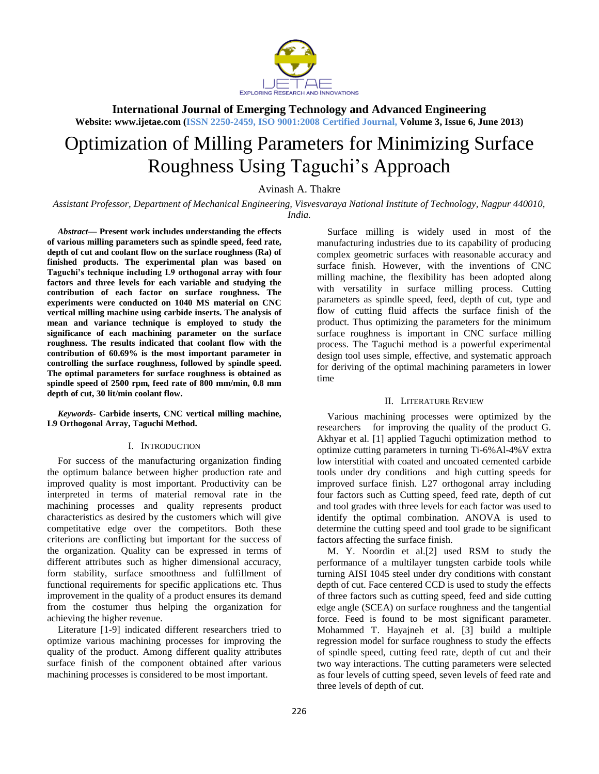

**Website: www.ijetae.com (ISSN 2250-2459, ISO 9001:2008 Certified Journal, Volume 3, Issue 6, June 2013)**

# Optimization of Milling Parameters for Minimizing Surface Roughness Using Taguchi's Approach

Avinash A. Thakre

*Assistant Professor, Department of Mechanical Engineering, Visvesvaraya National Institute of Technology, Nagpur 440010, India.*

*Abstract***— Present work includes understanding the effects of various milling parameters such as spindle speed, feed rate, depth of cut and coolant flow on the surface roughness (Ra) of finished products. The experimental plan was based on Taguchi's technique including L9 orthogonal array with four factors and three levels for each variable and studying the contribution of each factor on surface roughness. The experiments were conducted on 1040 MS material on CNC vertical milling machine using carbide inserts. The analysis of mean and variance technique is employed to study the significance of each machining parameter on the surface roughness. The results indicated that coolant flow with the contribution of 60.69% is the most important parameter in controlling the surface roughness, followed by spindle speed. The optimal parameters for surface roughness is obtained as spindle speed of 2500 rpm, feed rate of 800 mm/min, 0.8 mm depth of cut, 30 lit/min coolant flow.** 

*Keywords***- Carbide inserts, CNC vertical milling machine, L9 Orthogonal Array, Taguchi Method.**

# I. INTRODUCTION

For success of the manufacturing organization finding the optimum balance between higher production rate and improved quality is most important. Productivity can be interpreted in terms of material removal rate in the machining processes and quality represents product characteristics as desired by the customers which will give competitative edge over the competitors. Both these criterions are conflicting but important for the success of the organization. Quality can be expressed in terms of different attributes such as higher dimensional accuracy, form stability, surface smoothness and fulfillment of functional requirements for specific applications etc. Thus improvement in the quality of a product ensures its demand from the costumer thus helping the organization for achieving the higher revenue.

Literature [1-9] indicated different researchers tried to optimize various machining processes for improving the quality of the product. Among different quality attributes surface finish of the component obtained after various machining processes is considered to be most important.

Surface milling is widely used in most of the manufacturing industries due to its capability of producing complex geometric surfaces with reasonable accuracy and surface finish. However, with the inventions of CNC milling machine, the flexibility has been adopted along with versatility in surface milling process. Cutting parameters as spindle speed, feed, depth of cut, type and flow of cutting fluid affects the surface finish of the product. Thus optimizing the parameters for the minimum surface roughness is important in CNC surface milling process. The Taguchi method is a powerful experimental design tool uses simple, effective, and systematic approach for deriving of the optimal machining parameters in lower time

# II. LITERATURE REVIEW

Various machining processes were optimized by the researchers for improving the quality of the product G. Akhyar et al. [1] applied Taguchi optimization method to optimize cutting parameters in turning Ti-6%Al-4%V extra low interstitial with coated and uncoated cemented carbide tools under dry conditions and high cutting speeds for improved surface finish. L27 orthogonal array including four factors such as Cutting speed, feed rate, depth of cut and tool grades with three levels for each factor was used to identify the optimal combination. ANOVA is used to determine the cutting speed and tool grade to be significant factors affecting the surface finish.

M. Y. Noordin et al.[2] used RSM to study the performance of a multilayer tungsten carbide tools while turning AISI 1045 steel under dry conditions with constant depth of cut. Face centered CCD is used to study the effects of three factors such as cutting speed, feed and side cutting edge angle (SCEA) on surface roughness and the tangential force. Feed is found to be most significant parameter. Mohammed T. Hayajneh et al. [3] build a multiple regression model for surface roughness to study the effects of spindle speed, cutting feed rate, depth of cut and their two way interactions. The cutting parameters were selected as four levels of cutting speed, seven levels of feed rate and three levels of depth of cut.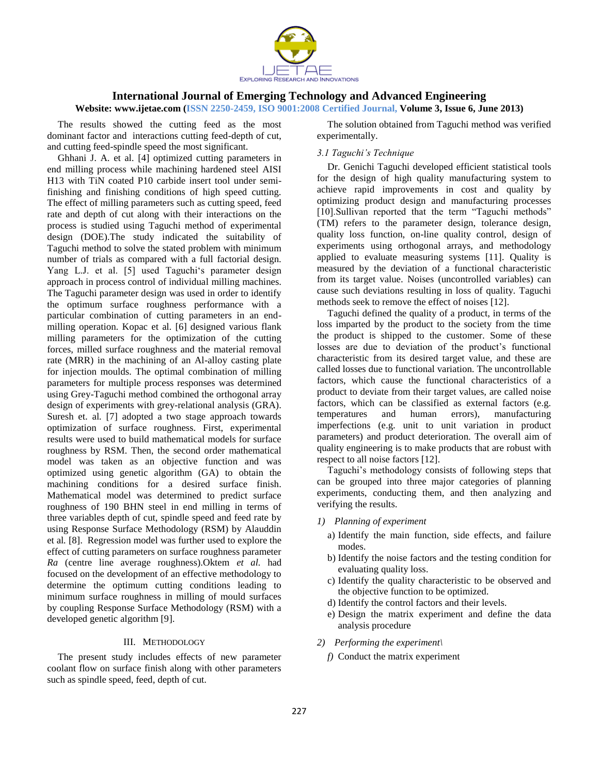

## **Website: www.ijetae.com (ISSN 2250-2459, ISO 9001:2008 Certified Journal, Volume 3, Issue 6, June 2013)**

The results showed the cutting feed as the most dominant factor and interactions cutting feed-depth of cut, and cutting feed-spindle speed the most significant.

Ghhani J. A. et al. [4] optimized cutting parameters in end milling process while machining hardened steel AISI H13 with TiN coated P10 carbide insert tool under semifinishing and finishing conditions of high speed cutting. The effect of milling parameters such as cutting speed, feed rate and depth of cut along with their interactions on the process is studied using Taguchi method of experimental design (DOE).The study indicated the suitability of Taguchi method to solve the stated problem with minimum number of trials as compared with a full factorial design. Yang L.J. et al. [5] used Taguchi's parameter design approach in process control of individual milling machines. The Taguchi parameter design was used in order to identify the optimum surface roughness performance with a particular combination of cutting parameters in an endmilling operation. Kopac et al. [6] designed various flank milling parameters for the optimization of the cutting forces, milled surface roughness and the material removal rate (MRR) in the machining of an Al-alloy casting plate for injection moulds. The optimal combination of milling parameters for multiple process responses was determined using Grey-Taguchi method combined the orthogonal array design of experiments with grey-relational analysis (GRA). Suresh et. al*.* [7] adopted a two stage approach towards optimization of surface roughness. First, experimental results were used to build mathematical models for surface roughness by RSM. Then, the second order mathematical model was taken as an objective function and was optimized using genetic algorithm (GA) to obtain the machining conditions for a desired surface finish. Mathematical model was determined to predict surface roughness of 190 BHN steel in end milling in terms of three variables depth of cut, spindle speed and feed rate by using Response Surface Methodology (RSM) by Alauddin et al*.* [8]. Regression model was further used to explore the effect of cutting parameters on surface roughness parameter *Ra* (centre line average roughness).Oktem *et al.* had focused on the development of an effective methodology to determine the optimum cutting conditions leading to minimum surface roughness in milling of mould surfaces by coupling Response Surface Methodology (RSM) with a developed genetic algorithm [9].

### III. METHODOLOGY

The present study includes effects of new parameter coolant flow on surface finish along with other parameters such as spindle speed, feed, depth of cut.

The solution obtained from Taguchi method was verified experimentally.

# *3.1 Taguchi's Technique*

Dr. Genichi Taguchi developed efficient statistical tools for the design of high quality manufacturing system to achieve rapid improvements in cost and quality by optimizing product design and manufacturing processes [10].Sullivan reported that the term "Taguchi methods" (TM) refers to the parameter design, tolerance design, quality loss function, on-line quality control, design of experiments using orthogonal arrays, and methodology applied to evaluate measuring systems [11]. Quality is measured by the deviation of a functional characteristic from its target value. Noises (uncontrolled variables) can cause such deviations resulting in loss of quality. Taguchi methods seek to remove the effect of noises [12].

Taguchi defined the quality of a product, in terms of the loss imparted by the product to the society from the time the product is shipped to the customer. Some of these losses are due to deviation of the product's functional characteristic from its desired target value, and these are called losses due to functional variation. The uncontrollable factors, which cause the functional characteristics of a product to deviate from their target values, are called noise factors, which can be classified as external factors (e.g. temperatures and human errors), manufacturing imperfections (e.g. unit to unit variation in product parameters) and product deterioration. The overall aim of quality engineering is to make products that are robust with respect to all noise factors [12].

Taguchi's methodology consists of following steps that can be grouped into three major categories of planning experiments, conducting them, and then analyzing and verifying the results.

- *1) Planning of experiment*
	- a) Identify the main function, side effects, and failure modes.
	- b) Identify the noise factors and the testing condition for evaluating quality loss.
	- c) Identify the quality characteristic to be observed and the objective function to be optimized.
	- d) Identify the control factors and their levels.
	- e) Design the matrix experiment and define the data analysis procedure
- *2) Performing the experiment\*
	- *f)* Conduct the matrix experiment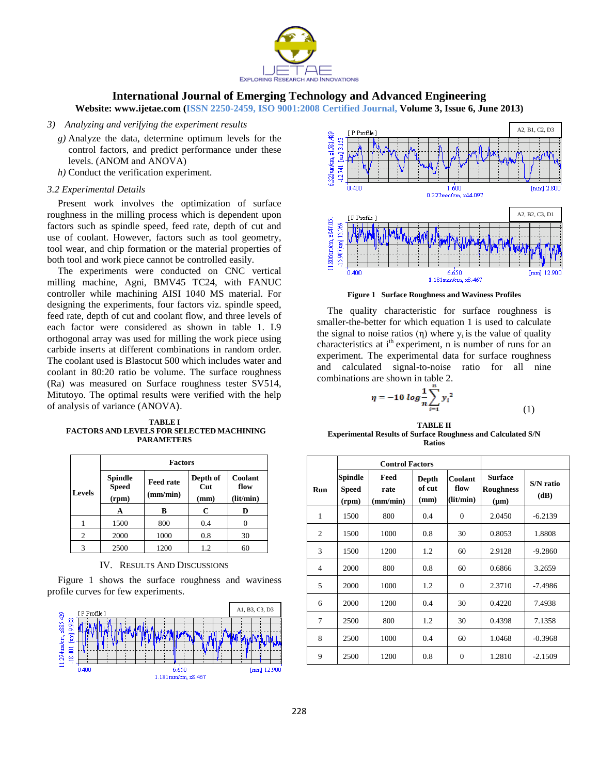

**Website: www.ijetae.com (ISSN 2250-2459, ISO 9001:2008 Certified Journal, Volume 3, Issue 6, June 2013)**

- *3) Analyzing and verifying the experiment results*
	- *g)* Analyze the data, determine optimum levels for the control factors, and predict performance under these levels. (ANOM and ANOVA)
	- *h)* Conduct the verification experiment.

## *3.2 Experimental Details*

Present work involves the optimization of surface roughness in the milling process which is dependent upon factors such as spindle speed, feed rate, depth of cut and use of coolant. However, factors such as tool geometry, tool wear, and chip formation or the material properties of both tool and work piece cannot be controlled easily.

The experiments were conducted on CNC vertical milling machine, Agni, BMV45 TC24, with FANUC controller while machining AISI 1040 MS material. For designing the experiments, four factors viz. spindle speed, feed rate, depth of cut and coolant flow, and three levels of each factor were considered as shown in table 1. L9 orthogonal array was used for milling the work piece using carbide inserts at different combinations in random order. The coolant used is Blastocut 500 which includes water and coolant in 80:20 ratio be volume. The surface roughness (Ra) was measured on Surface roughness tester SV514, Mitutoyo. The optimal results were verified with the help of analysis of variance (ANOVA).

**TABLE I FACTORS AND LEVELS FOR SELECTED MACHINING PARAMETERS**

|               | <b>Factors</b>                          |                              |                         |                              |  |  |  |
|---------------|-----------------------------------------|------------------------------|-------------------------|------------------------------|--|--|--|
| <b>Levels</b> | <b>Spindle</b><br><b>Speed</b><br>(rpm) | <b>Feed rate</b><br>(mm/min) | Depth of<br>Cut<br>(mm) | Coolant<br>flow<br>(lit/min) |  |  |  |
|               | A                                       | в                            | C                       | D                            |  |  |  |
|               | 1500                                    | 800                          | 0.4                     |                              |  |  |  |
| 2             | 2000                                    | 1000                         | 0.8                     | 30                           |  |  |  |
| 3             | 2500                                    | 1200                         | 12                      | 60                           |  |  |  |

IV. RESULTS AND DISCUSSIONS

Figure 1 shows the surface roughness and waviness profile curves for few experiments.





**Figure 1 Surface Roughness and Waviness Profiles**

The quality characteristic for surface roughness is smaller-the-better for which equation 1 is used to calculate the signal to noise ratios (η) where  $y_i$  is the value of quality characteristics at i<sup>th</sup> experiment, n is number of runs for an experiment. The experimental data for surface roughness and calculated signal-to-noise ratio for all nine combinations are shown in table 2.

$$
\eta = -10 \log \frac{1}{n} \sum_{i=1}^{n} y_i^2
$$
 (1)

| <b>TABLE II</b>                                                     |
|---------------------------------------------------------------------|
| <b>Experimental Results of Surface Roughness and Calculated S/N</b> |
| <b>Ratios</b>                                                       |

|                |                                  | <b>Control Factors</b>   |                         |                              |                                                 |                   |
|----------------|----------------------------------|--------------------------|-------------------------|------------------------------|-------------------------------------------------|-------------------|
| Run            | Spindle<br><b>Speed</b><br>(rpm) | Feed<br>rate<br>(mm/min) | Depth<br>of cut<br>(mm) | Coolant<br>flow<br>(lit/min) | <b>Surface</b><br><b>Roughness</b><br>$(\mu m)$ | S/N ratio<br>(dB) |
| 1              | 1500                             | 800                      | 0.4                     | $\theta$                     | 2.0450                                          | $-6.2139$         |
| 2              | 1500                             | 1000                     | 0.8                     | 30                           | 0.8053                                          | 1.8808            |
| 3              | 1500                             | 1200                     | 1.2                     | 60                           | 2.9128                                          | $-9.2860$         |
| $\overline{4}$ | 2000                             | 800                      | 0.8                     | 60                           | 0.6866                                          | 3.2659            |
| 5              | 2000                             | 1000                     | 1.2                     | $\Omega$                     | 2.3710                                          | $-7.4986$         |
| 6              | 2000                             | 1200                     | 0.4                     | 30                           | 0.4220                                          | 7.4938            |
| 7              | 2500                             | 800                      | 1.2                     | 30                           | 0.4398                                          | 7.1358            |
| 8              | 2500                             | 1000                     | 0.4                     | 60                           | 1.0468                                          | $-0.3968$         |
| 9              | 2500                             | 1200                     | 0.8                     | $\overline{0}$               | 1.2810                                          | $-2.1509$         |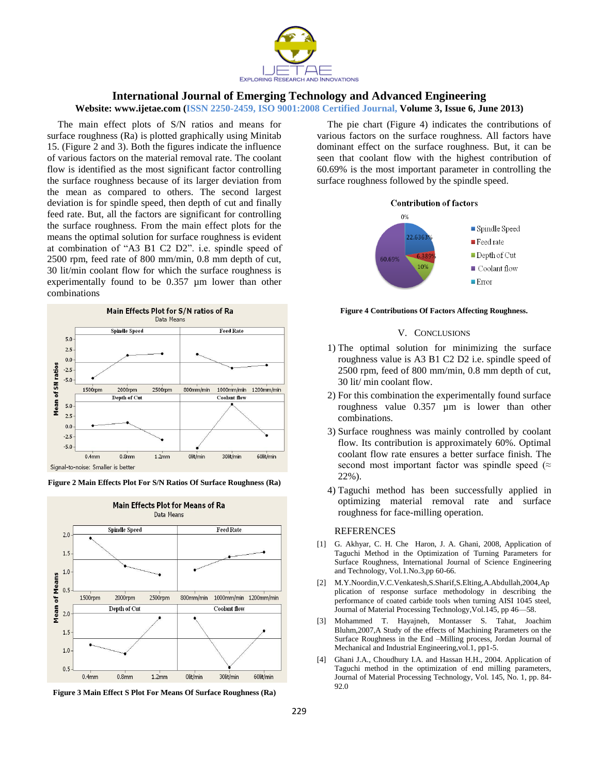

## **Website: www.ijetae.com (ISSN 2250-2459, ISO 9001:2008 Certified Journal, Volume 3, Issue 6, June 2013)**

The main effect plots of S/N ratios and means for surface roughness (Ra) is plotted graphically using Minitab 15. (Figure 2 and 3). Both the figures indicate the influence of various factors on the material removal rate. The coolant flow is identified as the most significant factor controlling the surface roughness because of its larger deviation from the mean as compared to others. The second largest deviation is for spindle speed, then depth of cut and finally feed rate. But, all the factors are significant for controlling the surface roughness. From the main effect plots for the means the optimal solution for surface roughness is evident at combination of "A3 B1 C2 D2". i.e. spindle speed of 2500 rpm, feed rate of 800 mm/min, 0.8 mm depth of cut, 30 lit/min coolant flow for which the surface roughness is experimentally found to be 0.357 µm lower than other combinations







**Figure 3 Main Effect S Plot For Means Of Surface Roughness (Ra)**

The pie chart (Figure 4) indicates the contributions of various factors on the surface roughness. All factors have dominant effect on the surface roughness. But, it can be seen that coolant flow with the highest contribution of 60.69% is the most important parameter in controlling the surface roughness followed by the spindle speed.



#### **Figure 4 Contributions Of Factors Affecting Roughness.**

### V. CONCLUSIONS

- 1) The optimal solution for minimizing the surface roughness value is A3 B1 C2 D2 i.e. spindle speed of 2500 rpm, feed of 800 mm/min, 0.8 mm depth of cut, 30 lit/ min coolant flow.
- 2) For this combination the experimentally found surface roughness value 0.357 µm is lower than other combinations.
- 3) Surface roughness was mainly controlled by coolant flow. Its contribution is approximately 60%. Optimal coolant flow rate ensures a better surface finish. The second most important factor was spindle speed ( $\approx$ 22%).
- 4) Taguchi method has been successfully applied in optimizing material removal rate and surface roughness for face-milling operation.

#### REFERENCES

- [1] G. Akhyar, C. H. Che Haron, J. A. Ghani, 2008, Application of Taguchi Method in the Optimization of Turning Parameters for Surface Roughness, International Journal of Science Engineering and Technology, Vol.1.No.3,pp 60-66.
- [2] M.Y.Noordin,V.C.Venkatesh,S.Sharif,S.Elting,A.Abdullah,2004,Ap plication of response surface methodology in describing the performance of coated carbide tools when turning AISI 1045 steel, Journal of Material Processing Technology,Vol.145, pp 46—58.
- [3] Mohammed T. Hayajneh, Montasser S. Tahat, Joachim Bluhm,2007,A Study of the effects of Machining Parameters on the Surface Roughness in the End –Milling process, Jordan Journal of Mechanical and Industrial Engineering,vol.1, pp1-5.
- [4] Ghani J.A., Choudhury I.A. and Hassan H.H., 2004. Application of Taguchi method in the optimization of end milling parameters, Journal of Material Processing Technology, Vol. 145, No. 1, pp. 84- 92.0